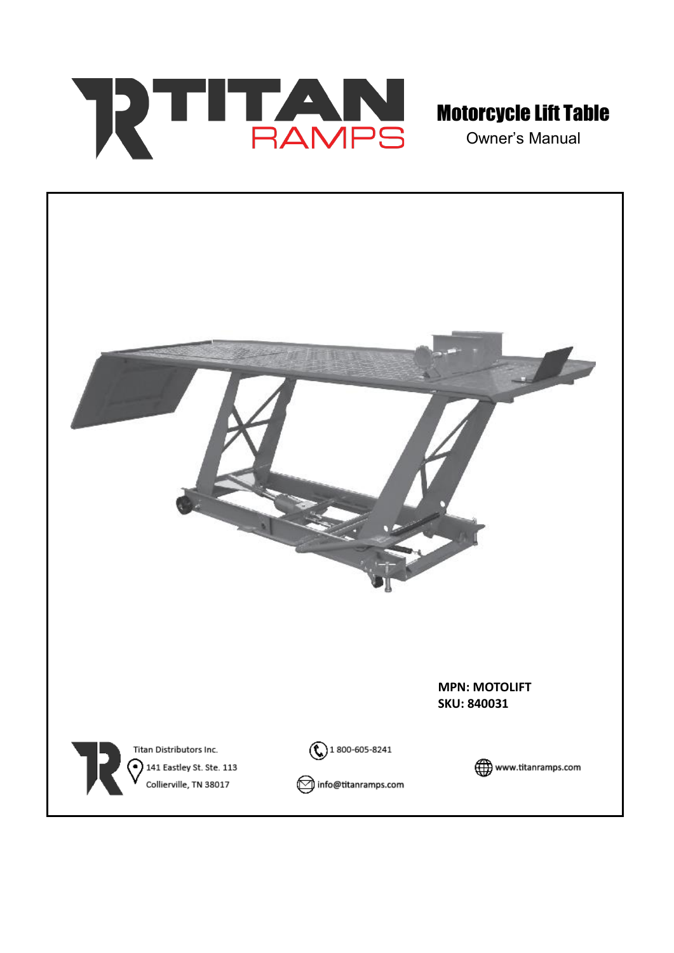

Owner's Manual

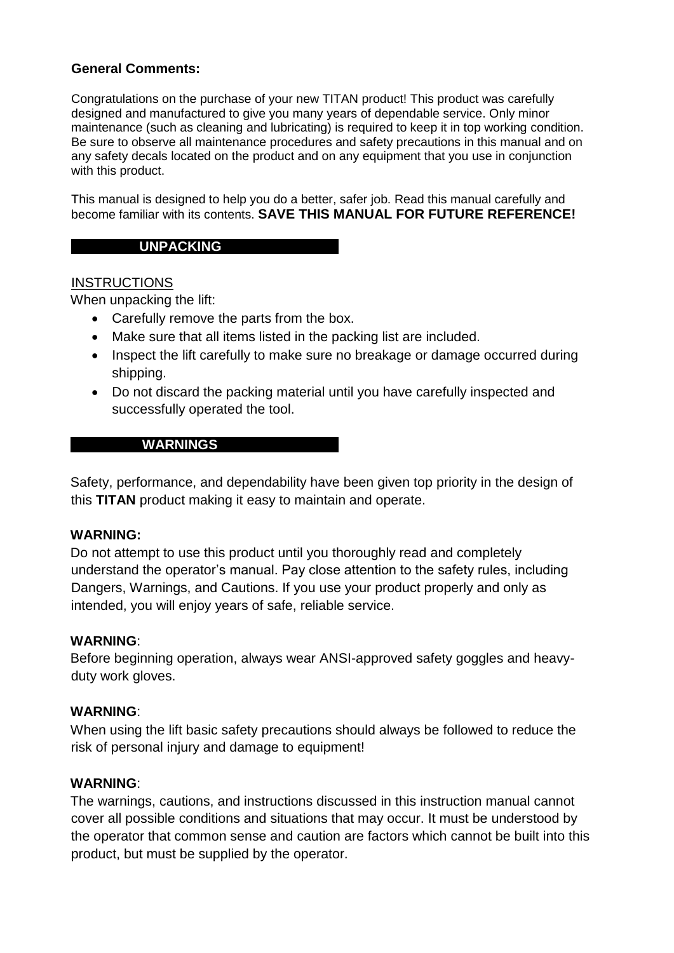#### **General Comments:**

Congratulations on the purchase of your new TITAN product! This product was carefully designed and manufactured to give you many years of dependable service. Only minor maintenance (such as cleaning and lubricating) is required to keep it in top working condition. Be sure to observe all maintenance procedures and safety precautions in this manual and on any safety decals located on the product and on any equipment that you use in conjunction with this product.

This manual is designed to help you do a better, safer job. Read this manual carefully and become familiar with its contents. **SAVE THIS MANUAL FOR FUTURE REFERENCE!** 

#### **UNPACKING**

#### **INSTRUCTIONS**

When unpacking the lift:

- Carefully remove the parts from the box.
- Make sure that all items listed in the packing list are included.
- Inspect the lift carefully to make sure no breakage or damage occurred during shipping.
- Do not discard the packing material until you have carefully inspected and successfully operated the tool.

#### **WARNINGS**

Safety, performance, and dependability have been given top priority in the design of this **TITAN** product making it easy to maintain and operate.

#### **WARNING:**

Do not attempt to use this product until you thoroughly read and completely understand the operator's manual. Pay close attention to the safety rules, including Dangers, Warnings, and Cautions. If you use your product properly and only as intended, you will enjoy years of safe, reliable service.

#### **WARNING**:

Before beginning operation, always wear ANSI-approved safety goggles and heavyduty work gloves.

#### **WARNING**:

When using the lift basic safety precautions should always be followed to reduce the risk of personal injury and damage to equipment!

#### **WARNING**:

The warnings, cautions, and instructions discussed in this instruction manual cannot cover all possible conditions and situations that may occur. It must be understood by the operator that common sense and caution are factors which cannot be built into this product, but must be supplied by the operator.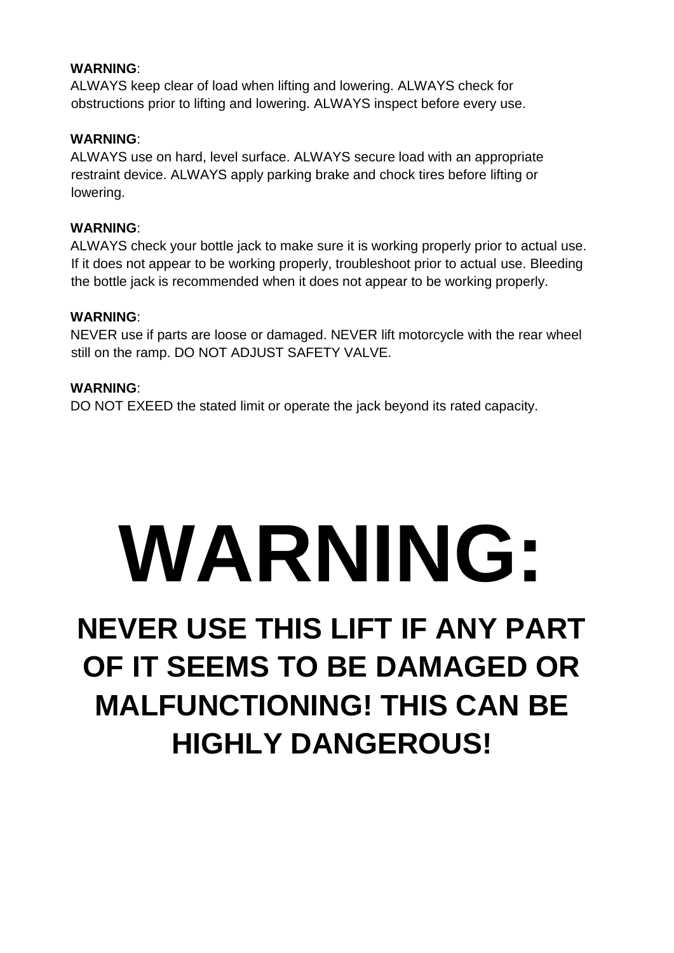#### **WARNING**:

ALWAYS keep clear of load when lifting and lowering. ALWAYS check for obstructions prior to lifting and lowering. ALWAYS inspect before every use.

#### **WARNING**:

ALWAYS use on hard, level surface. ALWAYS secure load with an appropriate restraint device. ALWAYS apply parking brake and chock tires before lifting or lowering.

#### **WARNING**:

ALWAYS check your bottle jack to make sure it is working properly prior to actual use. If it does not appear to be working properly, troubleshoot prior to actual use. Bleeding the bottle jack is recommended when it does not appear to be working properly.

#### **WARNING**:

NEVER use if parts are loose or damaged. NEVER lift motorcycle with the rear wheel still on the ramp. DO NOT ADJUST SAFETY VALVE.

#### **WARNING**:

DO NOT EXEED the stated limit or operate the jack beyond its rated capacity.

# **WARNING:**

## **NEVER USE THIS LIFT IF ANY PART OF IT SEEMS TO BE DAMAGED OR MALFUNCTIONING! THIS CAN BE HIGHLY DANGEROUS!**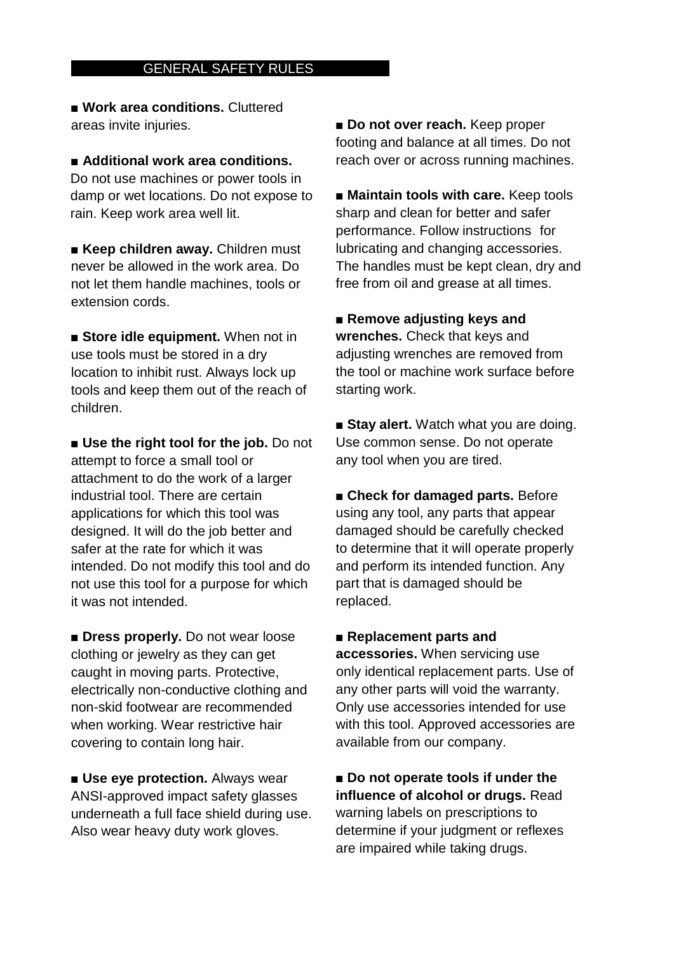#### **GENERAL SAFETY RULES**

■ **Work area conditions.** Cluttered areas invite injuries.

■ **Additional work area conditions.** Do not use machines or power tools in damp or wet locations. Do not expose to rain. Keep work area well lit.

■ **Keep children away.** Children must never be allowed in the work area. Do not let them handle machines, tools or extension cords.

■ **Store idle equipment.** When not in use tools must be stored in a dry location to inhibit rust. Always lock up tools and keep them out of the reach of children.

■ **Use the right tool for the job.** Do not attempt to force a small tool or attachment to do the work of a larger industrial tool. There are certain applications for which this tool was designed. It will do the job better and safer at the rate for which it was intended. Do not modify this tool and do not use this tool for a purpose for which it was not intended.

■ **Dress properly.** Do not wear loose clothing or jewelry as they can get caught in moving parts. Protective, electrically non-conductive clothing and non-skid footwear are recommended when working. Wear restrictive hair covering to contain long hair.

■ **Use eye protection.** Always wear ANSI-approved impact safety glasses underneath a full face shield during use. Also wear heavy duty work gloves.

■ **Do not over reach.** Keep proper footing and balance at all times. Do not reach over or across running machines.

■ **Maintain tools with care.** Keep tools sharp and clean for better and safer performance. Follow instructions for lubricating and changing accessories. The handles must be kept clean, dry and free from oil and grease at all times.

■ **Remove adjusting keys and wrenches.** Check that keys and adjusting wrenches are removed from the tool or machine work surface before starting work.

■ Stay alert. Watch what you are doing. Use common sense. Do not operate any tool when you are tired.

■ **Check for damaged parts.** Before using any tool, any parts that appear damaged should be carefully checked to determine that it will operate properly and perform its intended function. Any part that is damaged should be replaced.

■ **Replacement parts and accessories.** When servicing use only identical replacement parts. Use of any other parts will void the warranty. Only use accessories intended for use

with this tool. Approved accessories are available from our company.

■ **Do not operate tools if under the influence of alcohol or drugs.** Read warning labels on prescriptions to determine if your judgment or reflexes are impaired while taking drugs.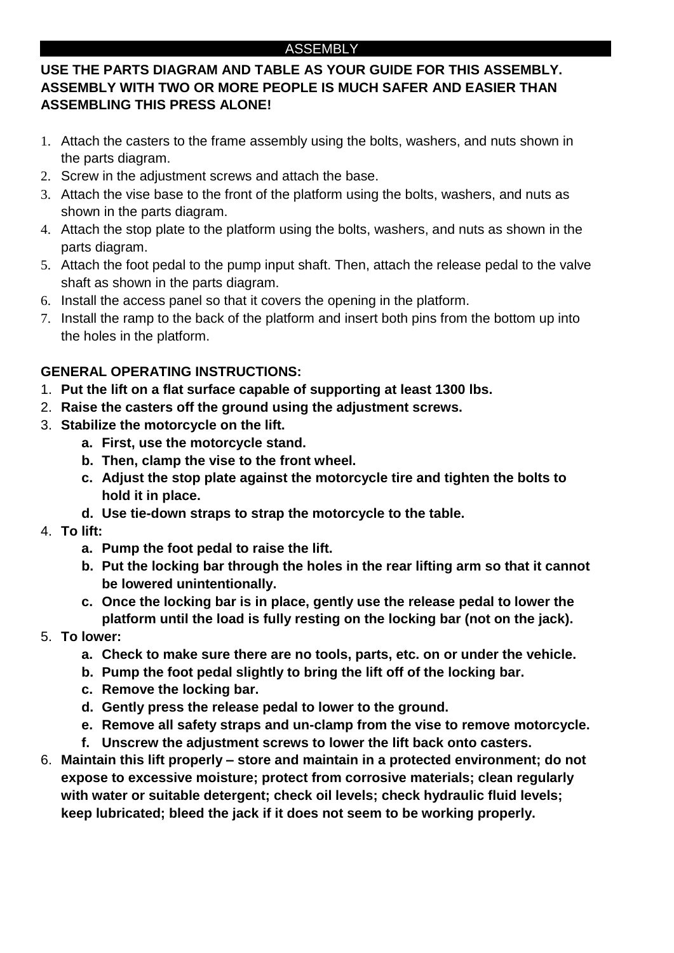#### ASSEMBLY

#### **USE THE PARTS DIAGRAM AND TABLE AS YOUR GUIDE FOR THIS ASSEMBLY. ASSEMBLY WITH TWO OR MORE PEOPLE IS MUCH SAFER AND EASIER THAN ASSEMBLING THIS PRESS ALONE!**

- 1. Attach the casters to the frame assembly using the bolts, washers, and nuts shown in the parts diagram.
- 2. Screw in the adjustment screws and attach the base.
- 3. Attach the vise base to the front of the platform using the bolts, washers, and nuts as shown in the parts diagram.
- 4. Attach the stop plate to the platform using the bolts, washers, and nuts as shown in the parts diagram.
- 5. Attach the foot pedal to the pump input shaft. Then, attach the release pedal to the valve shaft as shown in the parts diagram.
- 6. Install the access panel so that it covers the opening in the platform.
- 7. Install the ramp to the back of the platform and insert both pins from the bottom up into the holes in the platform.

#### **GENERAL OPERATING INSTRUCTIONS:**

- 1. **Put the lift on a flat surface capable of supporting at least 1300 lbs.**
- 2. **Raise the casters off the ground using the adjustment screws.**
- 3. **Stabilize the motorcycle on the lift.**
	- **a. First, use the motorcycle stand.**
	- **b. Then, clamp the vise to the front wheel.**
	- **c. Adjust the stop plate against the motorcycle tire and tighten the bolts to hold it in place.**
	- **d. Use tie-down straps to strap the motorcycle to the table.**
- 4. **To lift:**
	- **a. Pump the foot pedal to raise the lift.**
	- **b. Put the locking bar through the holes in the rear lifting arm so that it cannot be lowered unintentionally.**
	- **c. Once the locking bar is in place, gently use the release pedal to lower the platform until the load is fully resting on the locking bar (not on the jack).**
- 5. **To lower:**
	- **a. Check to make sure there are no tools, parts, etc. on or under the vehicle.**
	- **b. Pump the foot pedal slightly to bring the lift off of the locking bar.**
	- **c. Remove the locking bar.**
	- **d. Gently press the release pedal to lower to the ground.**
	- **e. Remove all safety straps and un-clamp from the vise to remove motorcycle.**
	- **f. Unscrew the adjustment screws to lower the lift back onto casters.**
- 6. **Maintain this lift properly – store and maintain in a protected environment; do not expose to excessive moisture; protect from corrosive materials; clean regularly with water or suitable detergent; check oil levels; check hydraulic fluid levels; keep lubricated; bleed the jack if it does not seem to be working properly.**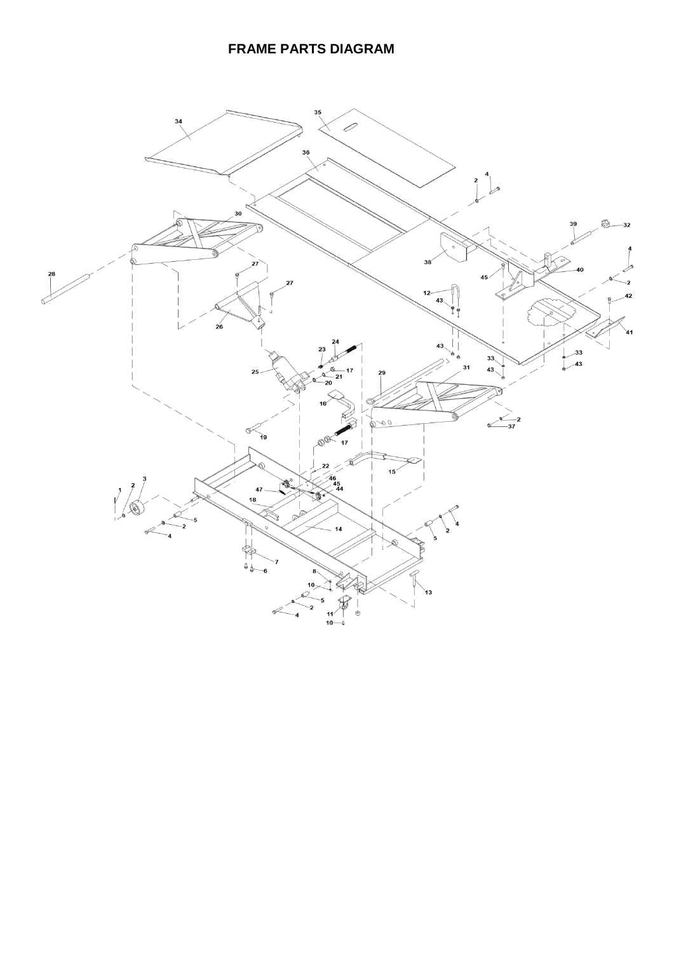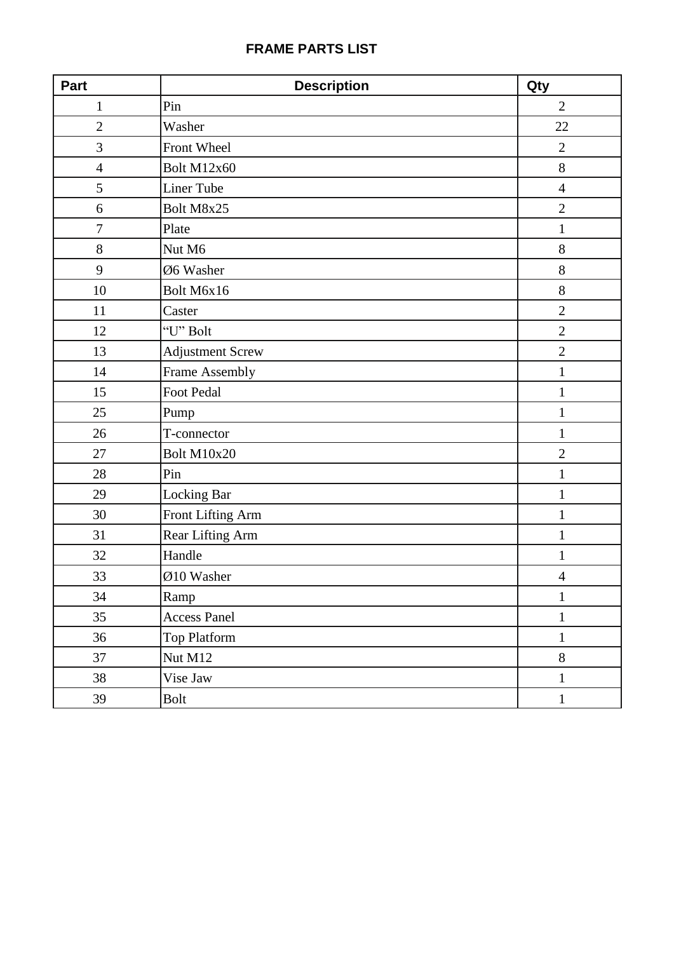#### **FRAME PARTS LIST**

| Part           | <b>Description</b>  | Qty            |
|----------------|---------------------|----------------|
| $\mathbf{1}$   | Pin                 | $\overline{2}$ |
| $\overline{2}$ | Washer              | 22             |
| 3              | Front Wheel         | $\overline{2}$ |
| $\overline{4}$ | Bolt M12x60         | 8              |
| 5              | Liner Tube          | $\overline{4}$ |
| 6              | Bolt M8x25          | $\overline{2}$ |
| $\overline{7}$ | Plate               | $\mathbf{1}$   |
| 8              | Nut M6              | 8              |
| 9              | Ø6 Washer           | 8              |
| 10             | Bolt M6x16          | 8              |
| 11             | Caster              | $\overline{2}$ |
| 12             | "U" Bolt            | $\overline{2}$ |
| 13             | Adjustment Screw    | $\overline{2}$ |
| 14             | Frame Assembly      | $\mathbf 1$    |
| 15             | Foot Pedal          | $\mathbf{1}$   |
| 25             | Pump                | $\mathbf 1$    |
| 26             | T-connector         | 1              |
| 27             | Bolt M10x20         | $\overline{2}$ |
| 28             | Pin                 | $\mathbf{1}$   |
| 29             | Locking Bar         | $\mathbf{1}$   |
| 30             | Front Lifting Arm   | $\mathbf{1}$   |
| 31             | Rear Lifting Arm    | $\mathbf{1}$   |
| 32             | Handle              | 1              |
| 33             | Ø10 Washer          | $\overline{4}$ |
| 34             | Ramp                | $\mathbf{1}$   |
| 35             | <b>Access Panel</b> | $\mathbf{1}$   |
| 36             | Top Platform        | $\mathbf 1$    |
| 37             | Nut M12             | $8\,$          |
| 38             | Vise Jaw            | $\mathbf{1}$   |
| 39             | <b>Bolt</b>         | $\,1\,$        |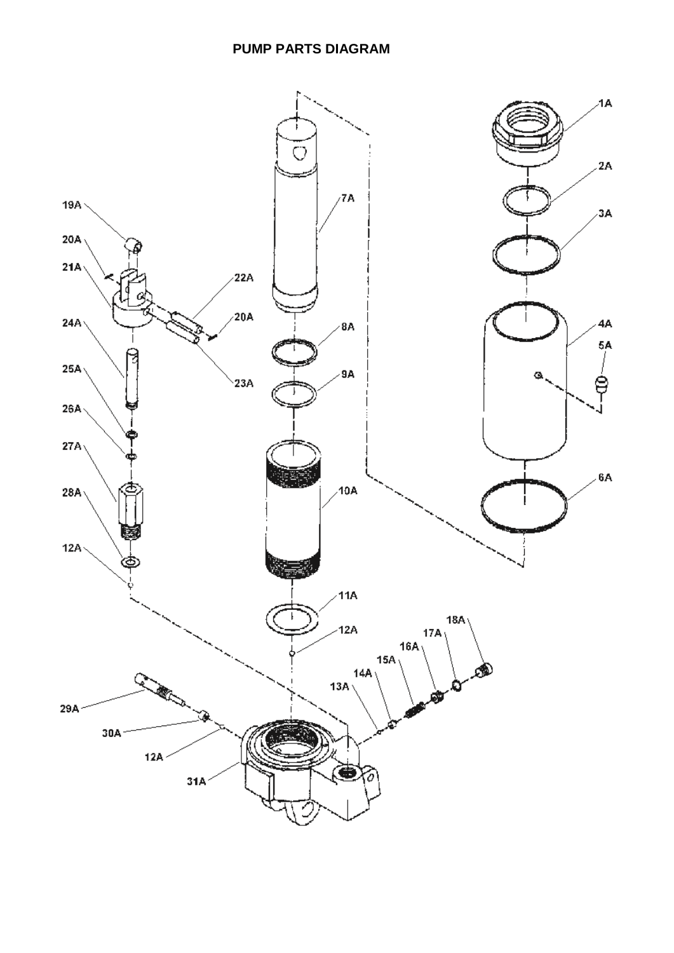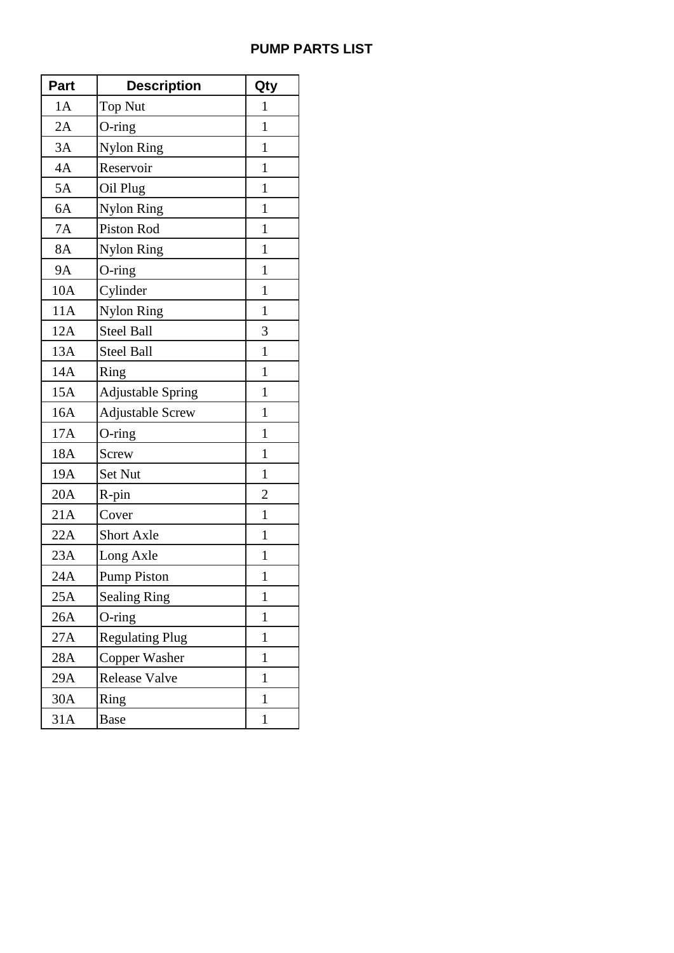#### **PUMP PARTS LIST**

| <b>Part</b> | <b>Description</b>       | Qty            |
|-------------|--------------------------|----------------|
| 1A          | <b>Top Nut</b>           | $\mathbf{1}$   |
| 2A          | $O$ -ring                | $\mathbf{1}$   |
| 3A          | Nylon Ring               | $\mathbf{1}$   |
| 4A          | Reservoir                | $\mathbf{1}$   |
| 5A          | Oil Plug                 | $\mathbf{1}$   |
| 6A          | <b>Nylon Ring</b>        | $\mathbf{1}$   |
| <b>7A</b>   | Piston Rod               | $\mathbf{1}$   |
| <b>8A</b>   | <b>Nylon Ring</b>        | $\mathbf{1}$   |
| <b>9A</b>   | $O$ -ring                | $\mathbf{1}$   |
| 10A         | Cylinder                 | $\mathbf{1}$   |
| 11A         | Nylon Ring               | $\mathbf{1}$   |
| 12A         | <b>Steel Ball</b>        | 3              |
| 13A         | <b>Steel Ball</b>        | $\mathbf{1}$   |
| 14A         | Ring                     | $\mathbf{1}$   |
| 15A         | <b>Adjustable Spring</b> | $\mathbf{1}$   |
| 16A         | <b>Adjustable Screw</b>  | $\mathbf{1}$   |
| 17A         | $O$ -ring                | $\mathbf{1}$   |
| 18A         | Screw                    | $\mathbf{1}$   |
| 19A         | Set Nut                  | $\mathbf{1}$   |
| 20A         | R-pin                    | $\overline{2}$ |
| 21A         | Cover                    | $\mathbf{1}$   |
| 22A         | <b>Short Axle</b>        | $\mathbf{1}$   |
| 23A         | Long Axle                | $\mathbf{1}$   |
| 24A         | <b>Pump Piston</b>       | $\mathbf{1}$   |
| 25A         | <b>Sealing Ring</b>      | $\mathbf{1}$   |
| 26A         | $O$ -ring                | $\mathbf{1}$   |
| 27A         | <b>Regulating Plug</b>   | $\mathbf{1}$   |
| 28A         | Copper Washer            | $\mathbf{1}$   |
| 29A         | Release Valve            | $\mathbf{1}$   |
| 30A         | Ring                     | $\mathbf{1}$   |
| 31A         | <b>Base</b>              | $\mathbf{1}$   |